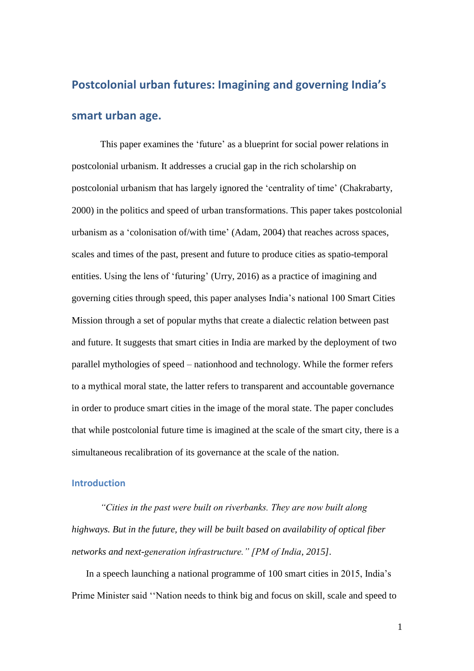# **Postcolonial urban futures: Imagining and governing India's smart urban age.**

This paper examines the 'future' as a blueprint for social power relations in postcolonial urbanism. It addresses a crucial gap in the rich scholarship on postcolonial urbanism that has largely ignored the 'centrality of time' (Chakrabarty, 2000) in the politics and speed of urban transformations. This paper takes postcolonial urbanism as a 'colonisation of/with time' (Adam, 2004) that reaches across spaces, scales and times of the past, present and future to produce cities as spatio-temporal entities. Using the lens of 'futuring' (Urry, 2016) as a practice of imagining and governing cities through speed, this paper analyses India's national 100 Smart Cities Mission through a set of popular myths that create a dialectic relation between past and future. It suggests that smart cities in India are marked by the deployment of two parallel mythologies of speed – nationhood and technology. While the former refers to a mythical moral state, the latter refers to transparent and accountable governance in order to produce smart cities in the image of the moral state. The paper concludes that while postcolonial future time is imagined at the scale of the smart city, there is a simultaneous recalibration of its governance at the scale of the nation.

#### **Introduction**

*"Cities in the past were built on riverbanks. They are now built along highways. But in the future, they will be built based on availability of optical fiber networks and next-generation infrastructure." [PM of India, 2015].*

In a speech launching a national programme of 100 smart cities in 2015, India's Prime Minister said ''Nation needs to think big and focus on skill, scale and speed to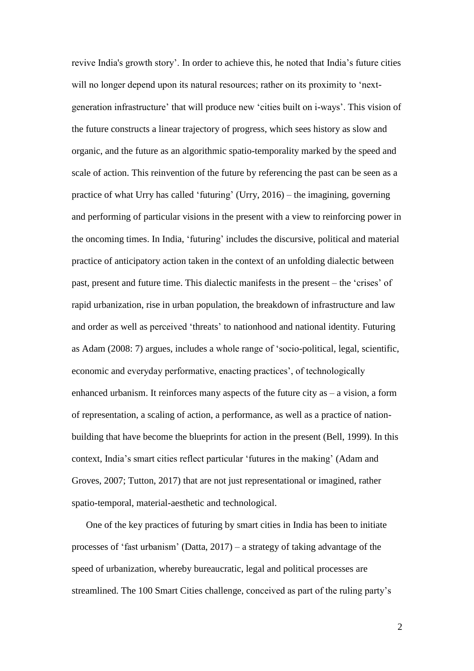revive India's growth story'. In order to achieve this, he noted that India's future cities will no longer depend upon its natural resources; rather on its proximity to 'nextgeneration infrastructure' that will produce new 'cities built on i-ways'. This vision of the future constructs a linear trajectory of progress, which sees history as slow and organic, and the future as an algorithmic spatio-temporality marked by the speed and scale of action. This reinvention of the future by referencing the past can be seen as a practice of what Urry has called 'futuring' (Urry, 2016) – the imagining, governing and performing of particular visions in the present with a view to reinforcing power in the oncoming times. In India, 'futuring' includes the discursive, political and material practice of anticipatory action taken in the context of an unfolding dialectic between past, present and future time. This dialectic manifests in the present – the 'crises' of rapid urbanization, rise in urban population, the breakdown of infrastructure and law and order as well as perceived 'threats' to nationhood and national identity. Futuring as Adam (2008: 7) argues, includes a whole range of 'socio-political, legal, scientific, economic and everyday performative, enacting practices', of technologically enhanced urbanism. It reinforces many aspects of the future city as – a vision, a form of representation, a scaling of action, a performance, as well as a practice of nationbuilding that have become the blueprints for action in the present (Bell, 1999). In this context, India's smart cities reflect particular 'futures in the making' (Adam and Groves, 2007; Tutton, 2017) that are not just representational or imagined, rather spatio-temporal, material-aesthetic and technological.

One of the key practices of futuring by smart cities in India has been to initiate processes of 'fast urbanism' (Datta, 2017) – a strategy of taking advantage of the speed of urbanization, whereby bureaucratic, legal and political processes are streamlined. The 100 Smart Cities challenge, conceived as part of the ruling party's

 $\mathfrak{D}$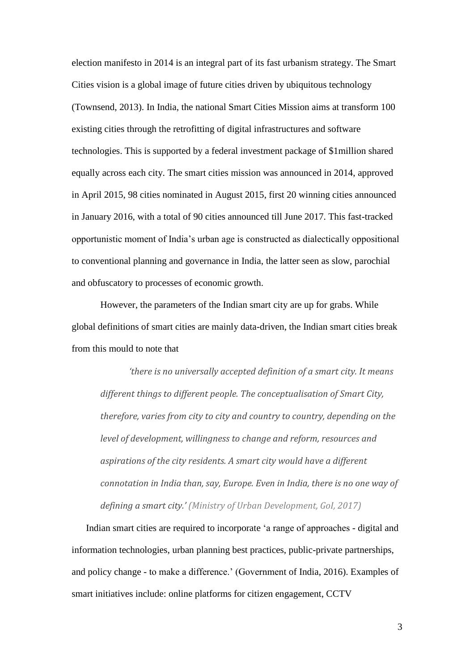election manifesto in 2014 is an integral part of its fast urbanism strategy. The Smart Cities vision is a global image of future cities driven by ubiquitous technology (Townsend, 2013). In India, the national Smart Cities Mission aims at transform 100 existing cities through the retrofitting of digital infrastructures and software technologies. This is supported by a federal investment package of \$1million shared equally across each city. The smart cities mission was announced in 2014, approved in April 2015, 98 cities nominated in August 2015, first 20 winning cities announced in January 2016, with a total of 90 cities announced till June 2017. This fast-tracked opportunistic moment of India's urban age is constructed as dialectically oppositional to conventional planning and governance in India, the latter seen as slow, parochial and obfuscatory to processes of economic growth.

However, the parameters of the Indian smart city are up for grabs. While global definitions of smart cities are mainly data-driven, the Indian smart cities break from this mould to note that

*'there is no universally accepted definition of a smart city. It means different things to different people. The conceptualisation of Smart City, therefore, varies from city to city and country to country, depending on the level of development, willingness to change and reform, resources and aspirations of the city residents. A smart city would have a different connotation in India than, say, Europe. Even in India, there is no one way of defining a smart city.' (Ministry of Urban Development, GoI, 2017)*

Indian smart cities are required to incorporate 'a range of approaches - digital and information technologies, urban planning best practices, public-private partnerships, and policy change - to make a difference.' (Government of India, 2016). Examples of smart initiatives include: online platforms for citizen engagement, CCTV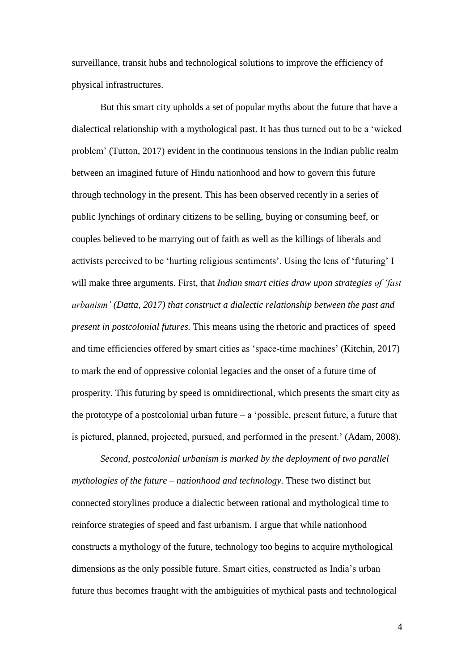surveillance, transit hubs and technological solutions to improve the efficiency of physical infrastructures.

But this smart city upholds a set of popular myths about the future that have a dialectical relationship with a mythological past. It has thus turned out to be a 'wicked problem' (Tutton, 2017) evident in the continuous tensions in the Indian public realm between an imagined future of Hindu nationhood and how to govern this future through technology in the present. This has been observed recently in a series of public lynchings of ordinary citizens to be selling, buying or consuming beef, or couples believed to be marrying out of faith as well as the killings of liberals and activists perceived to be 'hurting religious sentiments'. Using the lens of 'futuring' I will make three arguments. First, that *Indian smart cities draw upon strategies of 'fast urbanism' (Datta, 2017) that construct a dialectic relationship between the past and present in postcolonial futures.* This means using the rhetoric and practices of speed and time efficiencies offered by smart cities as 'space-time machines' (Kitchin, 2017) to mark the end of oppressive colonial legacies and the onset of a future time of prosperity. This futuring by speed is omnidirectional, which presents the smart city as the prototype of a postcolonial urban future  $-$  a 'possible, present future, a future that is pictured, planned, projected, pursued, and performed in the present.' (Adam, 2008).

*Second, postcolonial urbanism is marked by the deployment of two parallel mythologies of the future – nationhood and technology.* These two distinct but connected storylines produce a dialectic between rational and mythological time to reinforce strategies of speed and fast urbanism. I argue that while nationhood constructs a mythology of the future, technology too begins to acquire mythological dimensions as the only possible future. Smart cities, constructed as India's urban future thus becomes fraught with the ambiguities of mythical pasts and technological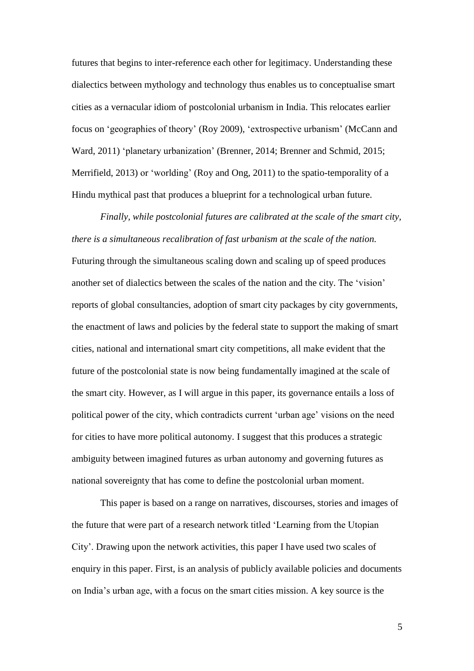futures that begins to inter-reference each other for legitimacy. Understanding these dialectics between mythology and technology thus enables us to conceptualise smart cities as a vernacular idiom of postcolonial urbanism in India. This relocates earlier focus on 'geographies of theory' (Roy 2009), 'extrospective urbanism' (McCann and Ward, 2011) 'planetary urbanization' (Brenner, 2014; Brenner and Schmid, 2015; Merrifield, 2013) or 'worlding' (Roy and Ong, 2011) to the spatio-temporality of a Hindu mythical past that produces a blueprint for a technological urban future.

*Finally, while postcolonial futures are calibrated at the scale of the smart city, there is a simultaneous recalibration of fast urbanism at the scale of the nation.*  Futuring through the simultaneous scaling down and scaling up of speed produces another set of dialectics between the scales of the nation and the city. The 'vision' reports of global consultancies, adoption of smart city packages by city governments, the enactment of laws and policies by the federal state to support the making of smart cities, national and international smart city competitions, all make evident that the future of the postcolonial state is now being fundamentally imagined at the scale of the smart city. However, as I will argue in this paper, its governance entails a loss of political power of the city, which contradicts current 'urban age' visions on the need for cities to have more political autonomy. I suggest that this produces a strategic ambiguity between imagined futures as urban autonomy and governing futures as national sovereignty that has come to define the postcolonial urban moment.

This paper is based on a range on narratives, discourses, stories and images of the future that were part of a research network titled 'Learning from the Utopian City'. Drawing upon the network activities, this paper I have used two scales of enquiry in this paper. First, is an analysis of publicly available policies and documents on India's urban age, with a focus on the smart cities mission. A key source is the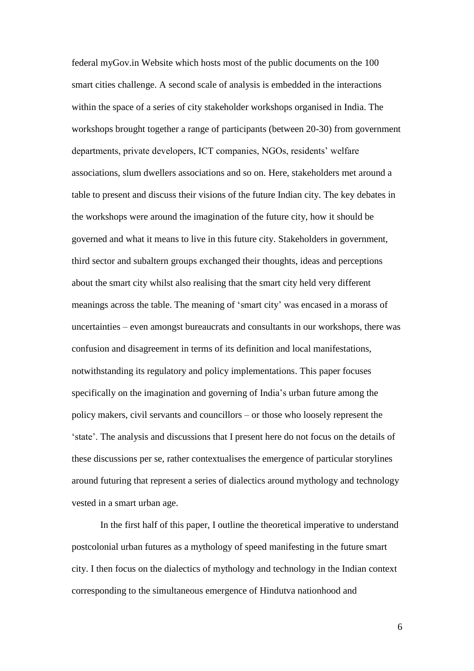federal myGov.in Website which hosts most of the public documents on the 100 smart cities challenge. A second scale of analysis is embedded in the interactions within the space of a series of city stakeholder workshops organised in India. The workshops brought together a range of participants (between 20-30) from government departments, private developers, ICT companies, NGOs, residents' welfare associations, slum dwellers associations and so on. Here, stakeholders met around a table to present and discuss their visions of the future Indian city. The key debates in the workshops were around the imagination of the future city, how it should be governed and what it means to live in this future city. Stakeholders in government, third sector and subaltern groups exchanged their thoughts, ideas and perceptions about the smart city whilst also realising that the smart city held very different meanings across the table. The meaning of 'smart city' was encased in a morass of uncertainties – even amongst bureaucrats and consultants in our workshops, there was confusion and disagreement in terms of its definition and local manifestations, notwithstanding its regulatory and policy implementations. This paper focuses specifically on the imagination and governing of India's urban future among the policy makers, civil servants and councillors – or those who loosely represent the 'state'. The analysis and discussions that I present here do not focus on the details of these discussions per se, rather contextualises the emergence of particular storylines around futuring that represent a series of dialectics around mythology and technology vested in a smart urban age.

In the first half of this paper, I outline the theoretical imperative to understand postcolonial urban futures as a mythology of speed manifesting in the future smart city. I then focus on the dialectics of mythology and technology in the Indian context corresponding to the simultaneous emergence of Hindutva nationhood and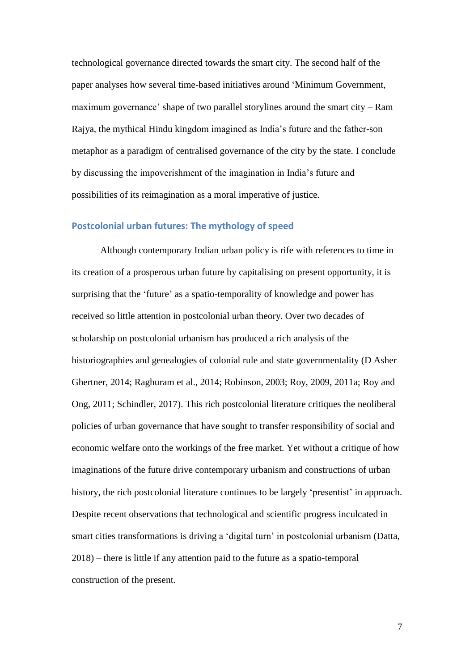technological governance directed towards the smart city. The second half of the paper analyses how several time-based initiatives around 'Minimum Government, maximum governance' shape of two parallel storylines around the smart city – Ram Rajya, the mythical Hindu kingdom imagined as India's future and the father-son metaphor as a paradigm of centralised governance of the city by the state. I conclude by discussing the impoverishment of the imagination in India's future and possibilities of its reimagination as a moral imperative of justice.

## **Postcolonial urban futures: The mythology of speed**

Although contemporary Indian urban policy is rife with references to time in its creation of a prosperous urban future by capitalising on present opportunity, it is surprising that the 'future' as a spatio-temporality of knowledge and power has received so little attention in postcolonial urban theory. Over two decades of scholarship on postcolonial urbanism has produced a rich analysis of the historiographies and genealogies of colonial rule and state governmentality (D Asher Ghertner, 2014; Raghuram et al., 2014; Robinson, 2003; Roy, 2009, 2011a; Roy and Ong, 2011; Schindler, 2017). This rich postcolonial literature critiques the neoliberal policies of urban governance that have sought to transfer responsibility of social and economic welfare onto the workings of the free market. Yet without a critique of how imaginations of the future drive contemporary urbanism and constructions of urban history, the rich postcolonial literature continues to be largely 'presentist' in approach. Despite recent observations that technological and scientific progress inculcated in smart cities transformations is driving a 'digital turn' in postcolonial urbanism (Datta, 2018) – there is little if any attention paid to the future as a spatio-temporal construction of the present.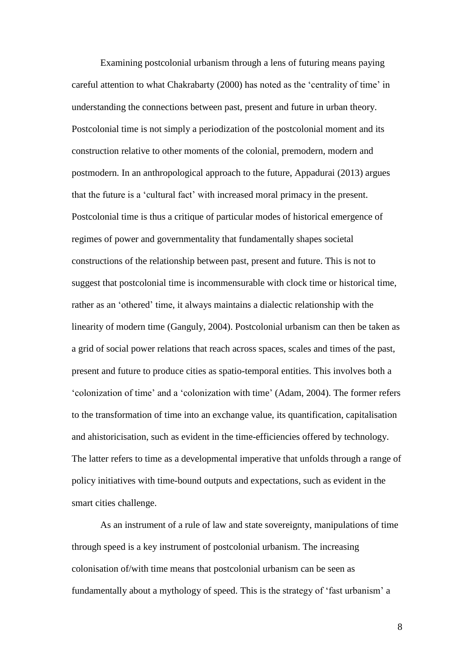Examining postcolonial urbanism through a lens of futuring means paying careful attention to what Chakrabarty (2000) has noted as the 'centrality of time' in understanding the connections between past, present and future in urban theory. Postcolonial time is not simply a periodization of the postcolonial moment and its construction relative to other moments of the colonial, premodern, modern and postmodern. In an anthropological approach to the future, Appadurai (2013) argues that the future is a 'cultural fact' with increased moral primacy in the present. Postcolonial time is thus a critique of particular modes of historical emergence of regimes of power and governmentality that fundamentally shapes societal constructions of the relationship between past, present and future. This is not to suggest that postcolonial time is incommensurable with clock time or historical time, rather as an 'othered' time, it always maintains a dialectic relationship with the linearity of modern time (Ganguly, 2004). Postcolonial urbanism can then be taken as a grid of social power relations that reach across spaces, scales and times of the past, present and future to produce cities as spatio-temporal entities. This involves both a 'colonization of time' and a 'colonization with time' (Adam, 2004). The former refers to the transformation of time into an exchange value, its quantification, capitalisation and ahistoricisation, such as evident in the time-efficiencies offered by technology. The latter refers to time as a developmental imperative that unfolds through a range of policy initiatives with time-bound outputs and expectations, such as evident in the smart cities challenge.

As an instrument of a rule of law and state sovereignty, manipulations of time through speed is a key instrument of postcolonial urbanism. The increasing colonisation of/with time means that postcolonial urbanism can be seen as fundamentally about a mythology of speed. This is the strategy of 'fast urbanism' a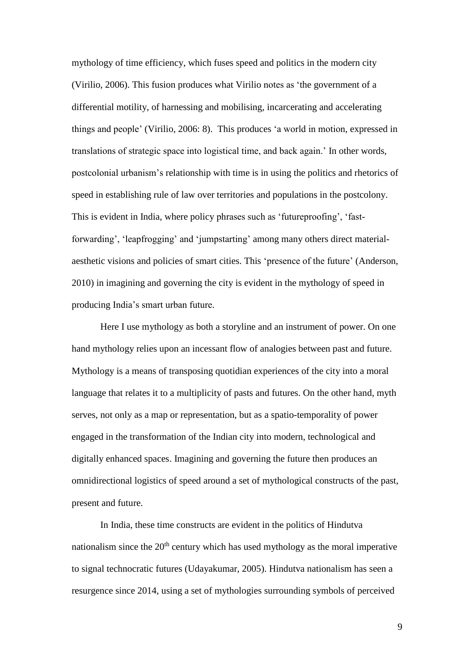mythology of time efficiency, which fuses speed and politics in the modern city (Virilio, 2006). This fusion produces what Virilio notes as 'the government of a differential motility, of harnessing and mobilising, incarcerating and accelerating things and people' (Virilio, 2006: 8). This produces 'a world in motion, expressed in translations of strategic space into logistical time, and back again.' In other words, postcolonial urbanism's relationship with time is in using the politics and rhetorics of speed in establishing rule of law over territories and populations in the postcolony. This is evident in India, where policy phrases such as 'futureproofing', 'fastforwarding', 'leapfrogging' and 'jumpstarting' among many others direct materialaesthetic visions and policies of smart cities. This 'presence of the future' (Anderson, 2010) in imagining and governing the city is evident in the mythology of speed in producing India's smart urban future.

Here I use mythology as both a storyline and an instrument of power. On one hand mythology relies upon an incessant flow of analogies between past and future. Mythology is a means of transposing quotidian experiences of the city into a moral language that relates it to a multiplicity of pasts and futures. On the other hand, myth serves, not only as a map or representation, but as a spatio-temporality of power engaged in the transformation of the Indian city into modern, technological and digitally enhanced spaces. Imagining and governing the future then produces an omnidirectional logistics of speed around a set of mythological constructs of the past, present and future.

In India, these time constructs are evident in the politics of Hindutva nationalism since the  $20<sup>th</sup>$  century which has used mythology as the moral imperative to signal technocratic futures (Udayakumar, 2005). Hindutva nationalism has seen a resurgence since 2014, using a set of mythologies surrounding symbols of perceived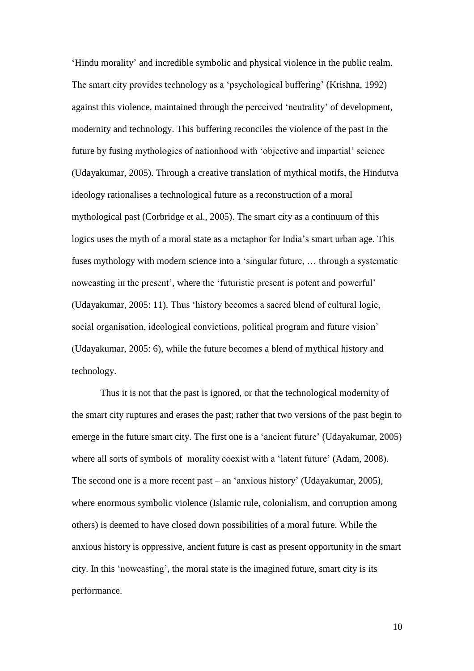'Hindu morality' and incredible symbolic and physical violence in the public realm. The smart city provides technology as a 'psychological buffering' (Krishna, 1992) against this violence, maintained through the perceived 'neutrality' of development, modernity and technology. This buffering reconciles the violence of the past in the future by fusing mythologies of nationhood with 'objective and impartial' science (Udayakumar, 2005). Through a creative translation of mythical motifs, the Hindutva ideology rationalises a technological future as a reconstruction of a moral mythological past (Corbridge et al., 2005). The smart city as a continuum of this logics uses the myth of a moral state as a metaphor for India's smart urban age. This fuses mythology with modern science into a 'singular future, … through a systematic nowcasting in the present', where the 'futuristic present is potent and powerful' (Udayakumar, 2005: 11). Thus 'history becomes a sacred blend of cultural logic, social organisation, ideological convictions, political program and future vision' (Udayakumar, 2005: 6), while the future becomes a blend of mythical history and technology.

Thus it is not that the past is ignored, or that the technological modernity of the smart city ruptures and erases the past; rather that two versions of the past begin to emerge in the future smart city. The first one is a 'ancient future' (Udayakumar, 2005) where all sorts of symbols of morality coexist with a 'latent future' (Adam, 2008). The second one is a more recent past – an 'anxious history' (Udayakumar, 2005), where enormous symbolic violence (Islamic rule, colonialism, and corruption among others) is deemed to have closed down possibilities of a moral future. While the anxious history is oppressive, ancient future is cast as present opportunity in the smart city. In this 'nowcasting', the moral state is the imagined future, smart city is its performance.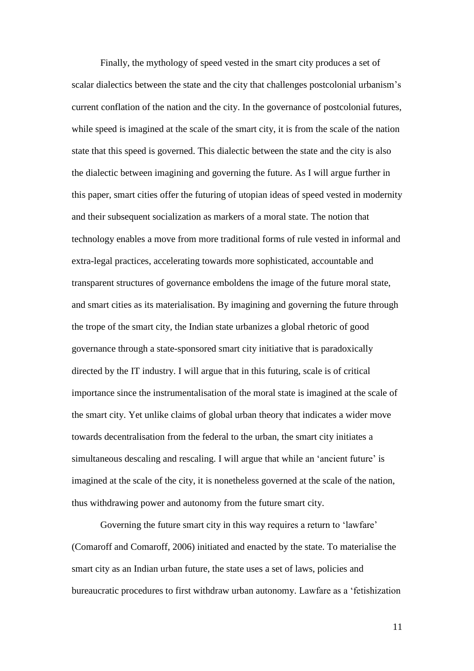Finally, the mythology of speed vested in the smart city produces a set of scalar dialectics between the state and the city that challenges postcolonial urbanism's current conflation of the nation and the city. In the governance of postcolonial futures, while speed is imagined at the scale of the smart city, it is from the scale of the nation state that this speed is governed. This dialectic between the state and the city is also the dialectic between imagining and governing the future. As I will argue further in this paper, smart cities offer the futuring of utopian ideas of speed vested in modernity and their subsequent socialization as markers of a moral state. The notion that technology enables a move from more traditional forms of rule vested in informal and extra-legal practices, accelerating towards more sophisticated, accountable and transparent structures of governance emboldens the image of the future moral state, and smart cities as its materialisation. By imagining and governing the future through the trope of the smart city, the Indian state urbanizes a global rhetoric of good governance through a state-sponsored smart city initiative that is paradoxically directed by the IT industry. I will argue that in this futuring, scale is of critical importance since the instrumentalisation of the moral state is imagined at the scale of the smart city. Yet unlike claims of global urban theory that indicates a wider move towards decentralisation from the federal to the urban, the smart city initiates a simultaneous descaling and rescaling. I will argue that while an 'ancient future' is imagined at the scale of the city, it is nonetheless governed at the scale of the nation, thus withdrawing power and autonomy from the future smart city.

Governing the future smart city in this way requires a return to 'lawfare' (Comaroff and Comaroff, 2006) initiated and enacted by the state. To materialise the smart city as an Indian urban future, the state uses a set of laws, policies and bureaucratic procedures to first withdraw urban autonomy. Lawfare as a 'fetishization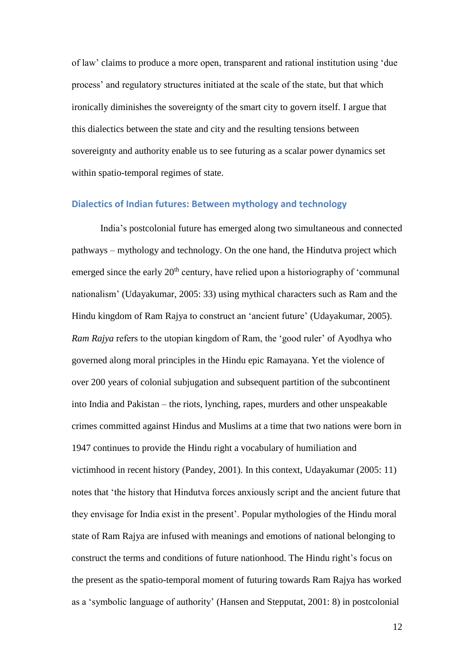of law' claims to produce a more open, transparent and rational institution using 'due process' and regulatory structures initiated at the scale of the state, but that which ironically diminishes the sovereignty of the smart city to govern itself. I argue that this dialectics between the state and city and the resulting tensions between sovereignty and authority enable us to see futuring as a scalar power dynamics set within spatio-temporal regimes of state.

#### **Dialectics of Indian futures: Between mythology and technology**

India's postcolonial future has emerged along two simultaneous and connected pathways – mythology and technology. On the one hand, the Hindutva project which emerged since the early  $20<sup>th</sup>$  century, have relied upon a historiography of 'communal nationalism' (Udayakumar, 2005: 33) using mythical characters such as Ram and the Hindu kingdom of Ram Rajya to construct an 'ancient future' (Udayakumar, 2005). *Ram Rajya* refers to the utopian kingdom of Ram, the 'good ruler' of Ayodhya who governed along moral principles in the Hindu epic Ramayana. Yet the violence of over 200 years of colonial subjugation and subsequent partition of the subcontinent into India and Pakistan – the riots, lynching, rapes, murders and other unspeakable crimes committed against Hindus and Muslims at a time that two nations were born in 1947 continues to provide the Hindu right a vocabulary of humiliation and victimhood in recent history (Pandey, 2001). In this context, Udayakumar (2005: 11) notes that 'the history that Hindutva forces anxiously script and the ancient future that they envisage for India exist in the present'. Popular mythologies of the Hindu moral state of Ram Rajya are infused with meanings and emotions of national belonging to construct the terms and conditions of future nationhood. The Hindu right's focus on the present as the spatio-temporal moment of futuring towards Ram Rajya has worked as a 'symbolic language of authority' (Hansen and Stepputat, 2001: 8) in postcolonial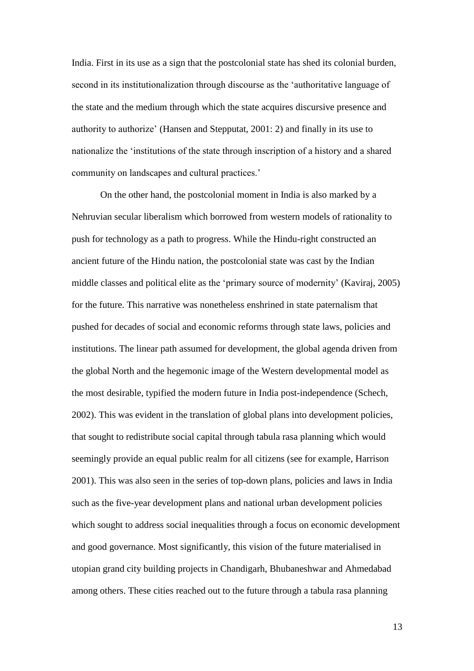India. First in its use as a sign that the postcolonial state has shed its colonial burden, second in its institutionalization through discourse as the 'authoritative language of the state and the medium through which the state acquires discursive presence and authority to authorize' (Hansen and Stepputat, 2001: 2) and finally in its use to nationalize the 'institutions of the state through inscription of a history and a shared community on landscapes and cultural practices.'

On the other hand, the postcolonial moment in India is also marked by a Nehruvian secular liberalism which borrowed from western models of rationality to push for technology as a path to progress. While the Hindu-right constructed an ancient future of the Hindu nation, the postcolonial state was cast by the Indian middle classes and political elite as the 'primary source of modernity' (Kaviraj, 2005) for the future. This narrative was nonetheless enshrined in state paternalism that pushed for decades of social and economic reforms through state laws, policies and institutions. The linear path assumed for development, the global agenda driven from the global North and the hegemonic image of the Western developmental model as the most desirable, typified the modern future in India post-independence (Schech, 2002). This was evident in the translation of global plans into development policies, that sought to redistribute social capital through tabula rasa planning which would seemingly provide an equal public realm for all citizens (see for example, Harrison 2001). This was also seen in the series of top-down plans, policies and laws in India such as the five-year development plans and national urban development policies which sought to address social inequalities through a focus on economic development and good governance. Most significantly, this vision of the future materialised in utopian grand city building projects in Chandigarh, Bhubaneshwar and Ahmedabad among others. These cities reached out to the future through a tabula rasa planning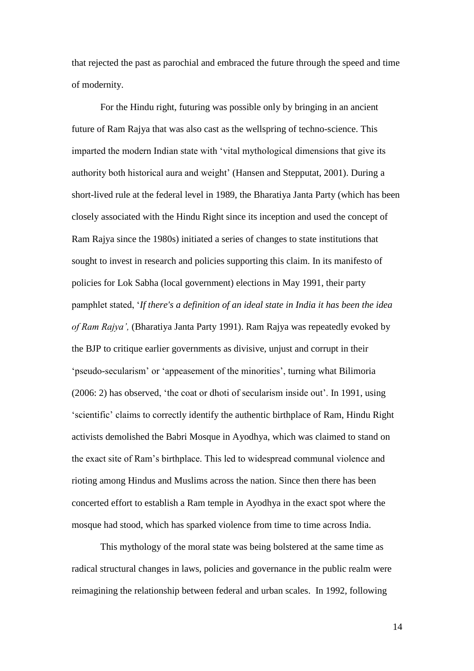that rejected the past as parochial and embraced the future through the speed and time of modernity.

For the Hindu right, futuring was possible only by bringing in an ancient future of Ram Rajya that was also cast as the wellspring of techno-science. This imparted the modern Indian state with 'vital mythological dimensions that give its authority both historical aura and weight' (Hansen and Stepputat, 2001). During a short-lived rule at the federal level in 1989, the Bharatiya Janta Party (which has been closely associated with the Hindu Right since its inception and used the concept of Ram Rajya since the 1980s) initiated a series of changes to state institutions that sought to invest in research and policies supporting this claim. In its manifesto of policies for Lok Sabha (local government) elections in May 1991, their party pamphlet stated, '*If there's a definition of an ideal state in India it has been the idea of Ram Rajya',* (Bharatiya Janta Party 1991). Ram Rajya was repeatedly evoked by the BJP to critique earlier governments as divisive, unjust and corrupt in their 'pseudo-secularism' or 'appeasement of the minorities', turning what Bilimoria (2006: 2) has observed, 'the coat or dhoti of secularism inside out'. In 1991, using 'scientific' claims to correctly identify the authentic birthplace of Ram, Hindu Right activists demolished the Babri Mosque in Ayodhya, which was claimed to stand on the exact site of Ram's birthplace. This led to widespread communal violence and rioting among Hindus and Muslims across the nation. Since then there has been concerted effort to establish a Ram temple in Ayodhya in the exact spot where the mosque had stood, which has sparked violence from time to time across India.

This mythology of the moral state was being bolstered at the same time as radical structural changes in laws, policies and governance in the public realm were reimagining the relationship between federal and urban scales. In 1992, following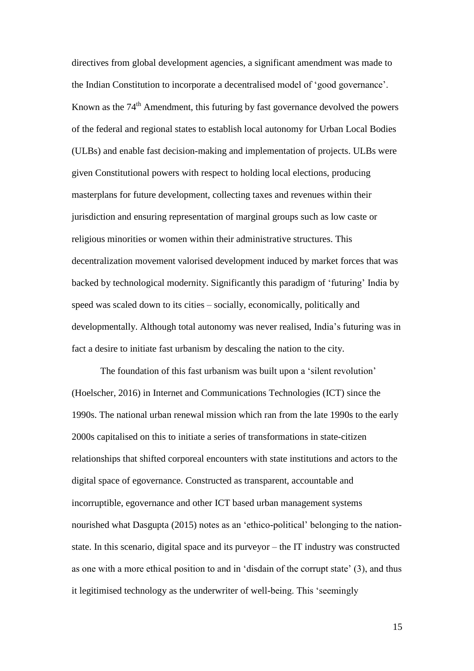directives from global development agencies, a significant amendment was made to the Indian Constitution to incorporate a decentralised model of 'good governance'. Known as the 74<sup>th</sup> Amendment, this futuring by fast governance devolved the powers of the federal and regional states to establish local autonomy for Urban Local Bodies (ULBs) and enable fast decision-making and implementation of projects. ULBs were given Constitutional powers with respect to holding local elections, producing masterplans for future development, collecting taxes and revenues within their jurisdiction and ensuring representation of marginal groups such as low caste or religious minorities or women within their administrative structures. This decentralization movement valorised development induced by market forces that was backed by technological modernity. Significantly this paradigm of 'futuring' India by speed was scaled down to its cities – socially, economically, politically and developmentally. Although total autonomy was never realised, India's futuring was in fact a desire to initiate fast urbanism by descaling the nation to the city.

The foundation of this fast urbanism was built upon a 'silent revolution' (Hoelscher, 2016) in Internet and Communications Technologies (ICT) since the 1990s. The national urban renewal mission which ran from the late 1990s to the early 2000s capitalised on this to initiate a series of transformations in state-citizen relationships that shifted corporeal encounters with state institutions and actors to the digital space of egovernance. Constructed as transparent, accountable and incorruptible, egovernance and other ICT based urban management systems nourished what Dasgupta (2015) notes as an 'ethico-political' belonging to the nationstate. In this scenario, digital space and its purveyor – the IT industry was constructed as one with a more ethical position to and in 'disdain of the corrupt state' (3), and thus it legitimised technology as the underwriter of well-being. This 'seemingly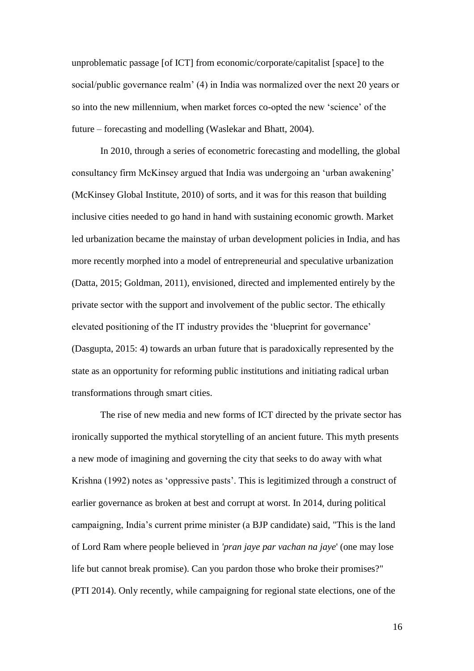unproblematic passage [of ICT] from economic/corporate/capitalist [space] to the social/public governance realm' (4) in India was normalized over the next 20 years or so into the new millennium, when market forces co-opted the new 'science' of the future – forecasting and modelling (Waslekar and Bhatt, 2004).

In 2010, through a series of econometric forecasting and modelling, the global consultancy firm McKinsey argued that India was undergoing an 'urban awakening' (McKinsey Global Institute, 2010) of sorts, and it was for this reason that building inclusive cities needed to go hand in hand with sustaining economic growth. Market led urbanization became the mainstay of urban development policies in India, and has more recently morphed into a model of entrepreneurial and speculative urbanization (Datta, 2015; Goldman, 2011), envisioned, directed and implemented entirely by the private sector with the support and involvement of the public sector. The ethically elevated positioning of the IT industry provides the 'blueprint for governance' (Dasgupta, 2015: 4) towards an urban future that is paradoxically represented by the state as an opportunity for reforming public institutions and initiating radical urban transformations through smart cities.

The rise of new media and new forms of ICT directed by the private sector has ironically supported the mythical storytelling of an ancient future. This myth presents a new mode of imagining and governing the city that seeks to do away with what Krishna (1992) notes as 'oppressive pasts'. This is legitimized through a construct of earlier governance as broken at best and corrupt at worst. In 2014, during political campaigning, India's current prime minister (a BJP candidate) said, "This is the land of Lord Ram where people believed in *'pran jaye par vachan na jaye*' (one may lose life but cannot break promise). Can you pardon those who broke their promises?" (PTI 2014). Only recently, while campaigning for regional state elections, one of the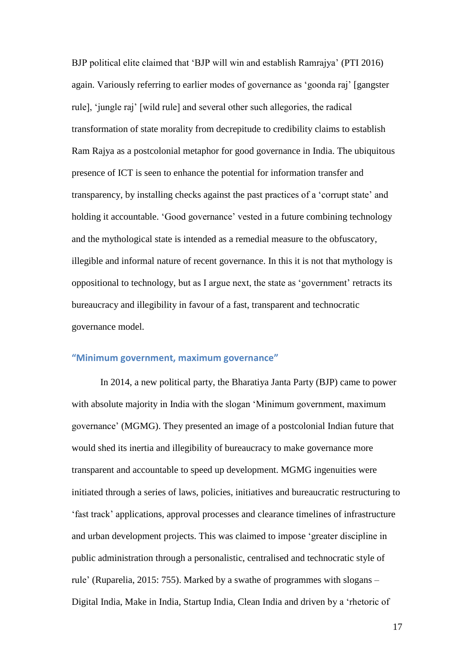BJP political elite claimed that 'BJP will win and establish Ramrajya' (PTI 2016) again. Variously referring to earlier modes of governance as 'goonda raj' [gangster rule], 'jungle raj' [wild rule] and several other such allegories, the radical transformation of state morality from decrepitude to credibility claims to establish Ram Rajya as a postcolonial metaphor for good governance in India. The ubiquitous presence of ICT is seen to enhance the potential for information transfer and transparency, by installing checks against the past practices of a 'corrupt state' and holding it accountable. 'Good governance' vested in a future combining technology and the mythological state is intended as a remedial measure to the obfuscatory, illegible and informal nature of recent governance. In this it is not that mythology is oppositional to technology, but as I argue next, the state as 'government' retracts its bureaucracy and illegibility in favour of a fast, transparent and technocratic governance model.

## **"Minimum government, maximum governance"**

In 2014, a new political party, the Bharatiya Janta Party (BJP) came to power with absolute majority in India with the slogan 'Minimum government, maximum governance' (MGMG). They presented an image of a postcolonial Indian future that would shed its inertia and illegibility of bureaucracy to make governance more transparent and accountable to speed up development. MGMG ingenuities were initiated through a series of laws, policies, initiatives and bureaucratic restructuring to 'fast track' applications, approval processes and clearance timelines of infrastructure and urban development projects. This was claimed to impose 'greater discipline in public administration through a personalistic, centralised and technocratic style of rule' (Ruparelia, 2015: 755). Marked by a swathe of programmes with slogans – Digital India, Make in India, Startup India, Clean India and driven by a 'rhetoric of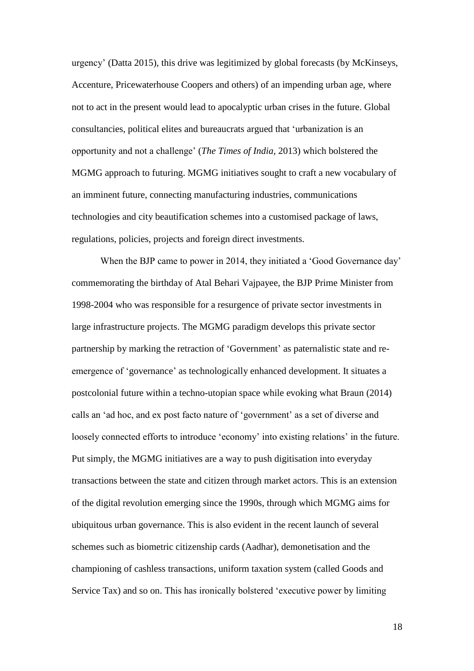urgency' (Datta 2015), this drive was legitimized by global forecasts (by McKinseys, Accenture, Pricewaterhouse Coopers and others) of an impending urban age, where not to act in the present would lead to apocalyptic urban crises in the future. Global consultancies, political elites and bureaucrats argued that 'urbanization is an opportunity and not a challenge' (*The Times of India*, 2013) which bolstered the MGMG approach to futuring. MGMG initiatives sought to craft a new vocabulary of an imminent future, connecting manufacturing industries, communications technologies and city beautification schemes into a customised package of laws, regulations, policies, projects and foreign direct investments.

When the BJP came to power in 2014, they initiated a 'Good Governance day' commemorating the birthday of Atal Behari Vajpayee, the BJP Prime Minister from 1998-2004 who was responsible for a resurgence of private sector investments in large infrastructure projects. The MGMG paradigm develops this private sector partnership by marking the retraction of 'Government' as paternalistic state and reemergence of 'governance' as technologically enhanced development. It situates a postcolonial future within a techno-utopian space while evoking what Braun (2014) calls an 'ad hoc, and ex post facto nature of 'government' as a set of diverse and loosely connected efforts to introduce 'economy' into existing relations' in the future. Put simply, the MGMG initiatives are a way to push digitisation into everyday transactions between the state and citizen through market actors. This is an extension of the digital revolution emerging since the 1990s, through which MGMG aims for ubiquitous urban governance. This is also evident in the recent launch of several schemes such as biometric citizenship cards (Aadhar), demonetisation and the championing of cashless transactions, uniform taxation system (called Goods and Service Tax) and so on. This has ironically bolstered 'executive power by limiting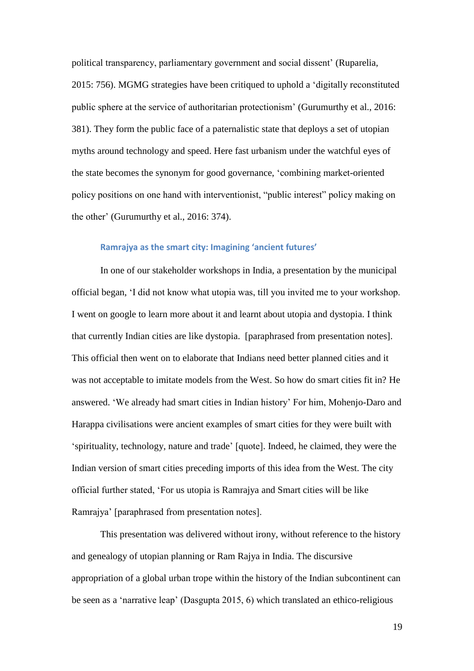political transparency, parliamentary government and social dissent' (Ruparelia, 2015: 756). MGMG strategies have been critiqued to uphold a 'digitally reconstituted public sphere at the service of authoritarian protectionism' (Gurumurthy et al., 2016: 381). They form the public face of a paternalistic state that deploys a set of utopian myths around technology and speed. Here fast urbanism under the watchful eyes of the state becomes the synonym for good governance, 'combining market-oriented policy positions on one hand with interventionist, "public interest" policy making on the other' (Gurumurthy et al., 2016: 374).

#### **Ramrajya as the smart city: Imagining 'ancient futures'**

In one of our stakeholder workshops in India, a presentation by the municipal official began, 'I did not know what utopia was, till you invited me to your workshop. I went on google to learn more about it and learnt about utopia and dystopia. I think that currently Indian cities are like dystopia. [paraphrased from presentation notes]. This official then went on to elaborate that Indians need better planned cities and it was not acceptable to imitate models from the West. So how do smart cities fit in? He answered. 'We already had smart cities in Indian history' For him, Mohenjo-Daro and Harappa civilisations were ancient examples of smart cities for they were built with 'spirituality, technology, nature and trade' [quote]. Indeed, he claimed, they were the Indian version of smart cities preceding imports of this idea from the West. The city official further stated, 'For us utopia is Ramrajya and Smart cities will be like Ramrajya' [paraphrased from presentation notes].

This presentation was delivered without irony, without reference to the history and genealogy of utopian planning or Ram Rajya in India. The discursive appropriation of a global urban trope within the history of the Indian subcontinent can be seen as a 'narrative leap' (Dasgupta 2015, 6) which translated an ethico-religious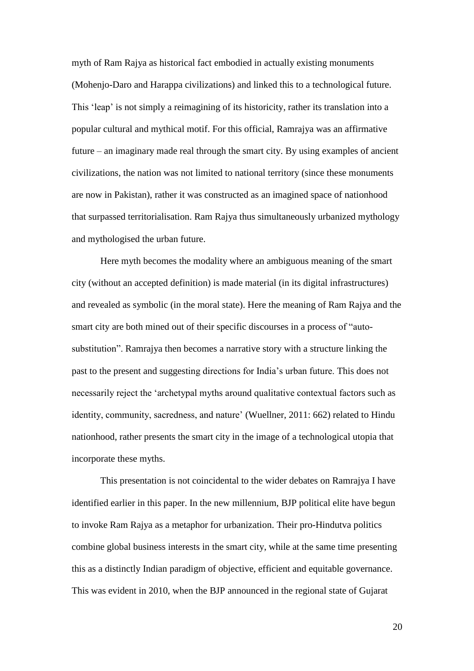myth of Ram Rajya as historical fact embodied in actually existing monuments (Mohenjo-Daro and Harappa civilizations) and linked this to a technological future. This 'leap' is not simply a reimagining of its historicity, rather its translation into a popular cultural and mythical motif. For this official, Ramrajya was an affirmative future – an imaginary made real through the smart city. By using examples of ancient civilizations, the nation was not limited to national territory (since these monuments are now in Pakistan), rather it was constructed as an imagined space of nationhood that surpassed territorialisation. Ram Rajya thus simultaneously urbanized mythology and mythologised the urban future.

Here myth becomes the modality where an ambiguous meaning of the smart city (without an accepted definition) is made material (in its digital infrastructures) and revealed as symbolic (in the moral state). Here the meaning of Ram Rajya and the smart city are both mined out of their specific discourses in a process of "autosubstitution". Ramrajya then becomes a narrative story with a structure linking the past to the present and suggesting directions for India's urban future. This does not necessarily reject the 'archetypal myths around qualitative contextual factors such as identity, community, sacredness, and nature' (Wuellner, 2011: 662) related to Hindu nationhood, rather presents the smart city in the image of a technological utopia that incorporate these myths.

This presentation is not coincidental to the wider debates on Ramrajya I have identified earlier in this paper. In the new millennium, BJP political elite have begun to invoke Ram Rajya as a metaphor for urbanization. Their pro-Hindutva politics combine global business interests in the smart city, while at the same time presenting this as a distinctly Indian paradigm of objective, efficient and equitable governance. This was evident in 2010, when the BJP announced in the regional state of Gujarat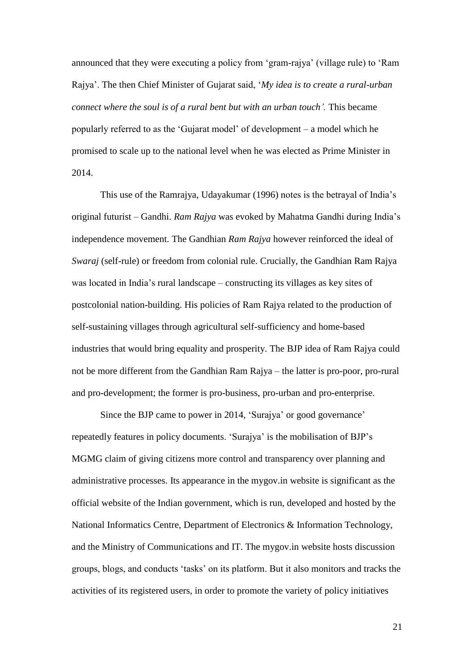announced that they were executing a policy from 'gram-rajya' (village rule) to 'Ram Rajya'. The then Chief Minister of Gujarat said, '*My idea is to create a rural-urban connect where the soul is of a rural bent but with an urban touch'.* This became popularly referred to as the 'Gujarat model' of development – a model which he promised to scale up to the national level when he was elected as Prime Minister in 2014.

This use of the Ramrajya, Udayakumar (1996) notes is the betrayal of India's original futurist – Gandhi. *Ram Rajya* was evoked by Mahatma Gandhi during India's independence movement. The Gandhian *Ram Rajya* however reinforced the ideal of *Swaraj* (self-rule) or freedom from colonial rule. Crucially, the Gandhian Ram Rajya was located in India's rural landscape – constructing its villages as key sites of postcolonial nation-building. His policies of Ram Rajya related to the production of self-sustaining villages through agricultural self-sufficiency and home-based industries that would bring equality and prosperity. The BJP idea of Ram Rajya could not be more different from the Gandhian Ram Rajya – the latter is pro-poor, pro-rural and pro-development; the former is pro-business, pro-urban and pro-enterprise.

Since the BJP came to power in 2014, 'Surajya' or good governance' repeatedly features in policy documents. 'Surajya' is the mobilisation of BJP's MGMG claim of giving citizens more control and transparency over planning and administrative processes. Its appearance in the mygov.in website is significant as the official website of the Indian government, which is run, developed and hosted by the National Informatics Centre, Department of Electronics & Information Technology, and the Ministry of Communications and IT. The mygov.in website hosts discussion groups, blogs, and conducts 'tasks' on its platform. But it also monitors and tracks the activities of its registered users, in order to promote the variety of policy initiatives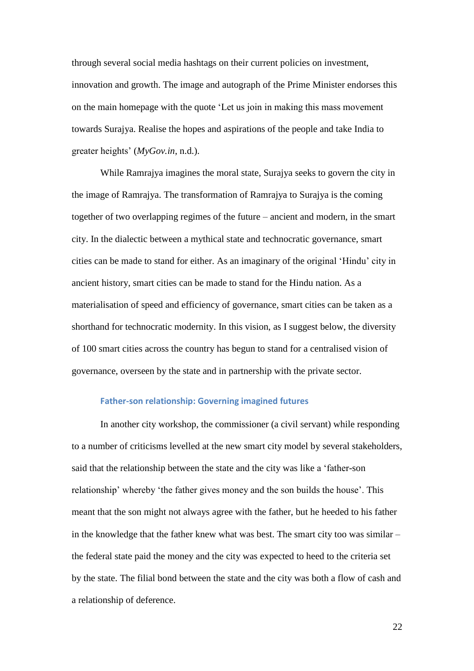through several social media hashtags on their current policies on investment, innovation and growth. The image and autograph of the Prime Minister endorses this on the main homepage with the quote 'Let us join in making this mass movement towards Surajya. Realise the hopes and aspirations of the people and take India to greater heights' (*MyGov.in*, n.d.).

While Ramrajya imagines the moral state, Surajya seeks to govern the city in the image of Ramrajya. The transformation of Ramrajya to Surajya is the coming together of two overlapping regimes of the future – ancient and modern, in the smart city. In the dialectic between a mythical state and technocratic governance, smart cities can be made to stand for either. As an imaginary of the original 'Hindu' city in ancient history, smart cities can be made to stand for the Hindu nation. As a materialisation of speed and efficiency of governance, smart cities can be taken as a shorthand for technocratic modernity. In this vision, as I suggest below, the diversity of 100 smart cities across the country has begun to stand for a centralised vision of governance, overseen by the state and in partnership with the private sector.

#### **Father-son relationship: Governing imagined futures**

In another city workshop, the commissioner (a civil servant) while responding to a number of criticisms levelled at the new smart city model by several stakeholders, said that the relationship between the state and the city was like a 'father-son relationship' whereby 'the father gives money and the son builds the house'. This meant that the son might not always agree with the father, but he heeded to his father in the knowledge that the father knew what was best. The smart city too was similar – the federal state paid the money and the city was expected to heed to the criteria set by the state. The filial bond between the state and the city was both a flow of cash and a relationship of deference.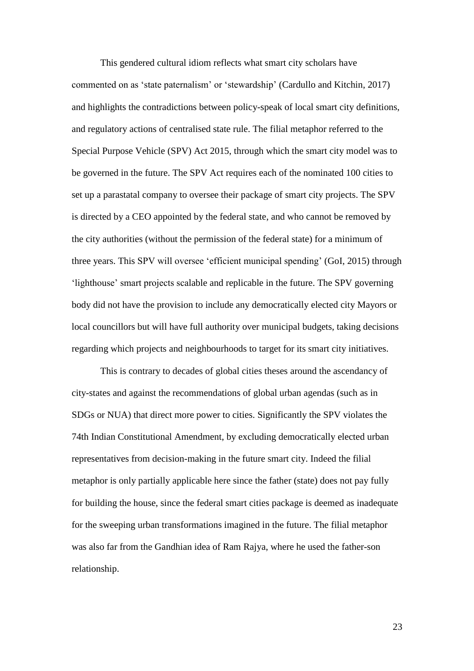This gendered cultural idiom reflects what smart city scholars have commented on as 'state paternalism' or 'stewardship' (Cardullo and Kitchin, 2017) and highlights the contradictions between policy-speak of local smart city definitions, and regulatory actions of centralised state rule. The filial metaphor referred to the Special Purpose Vehicle (SPV) Act 2015, through which the smart city model was to be governed in the future. The SPV Act requires each of the nominated 100 cities to set up a parastatal company to oversee their package of smart city projects. The SPV is directed by a CEO appointed by the federal state, and who cannot be removed by the city authorities (without the permission of the federal state) for a minimum of three years. This SPV will oversee 'efficient municipal spending' (GoI, 2015) through 'lighthouse' smart projects scalable and replicable in the future. The SPV governing body did not have the provision to include any democratically elected city Mayors or local councillors but will have full authority over municipal budgets, taking decisions regarding which projects and neighbourhoods to target for its smart city initiatives.

This is contrary to decades of global cities theses around the ascendancy of city-states and against the recommendations of global urban agendas (such as in SDGs or NUA) that direct more power to cities. Significantly the SPV violates the 74th Indian Constitutional Amendment, by excluding democratically elected urban representatives from decision-making in the future smart city. Indeed the filial metaphor is only partially applicable here since the father (state) does not pay fully for building the house, since the federal smart cities package is deemed as inadequate for the sweeping urban transformations imagined in the future. The filial metaphor was also far from the Gandhian idea of Ram Rajya, where he used the father-son relationship.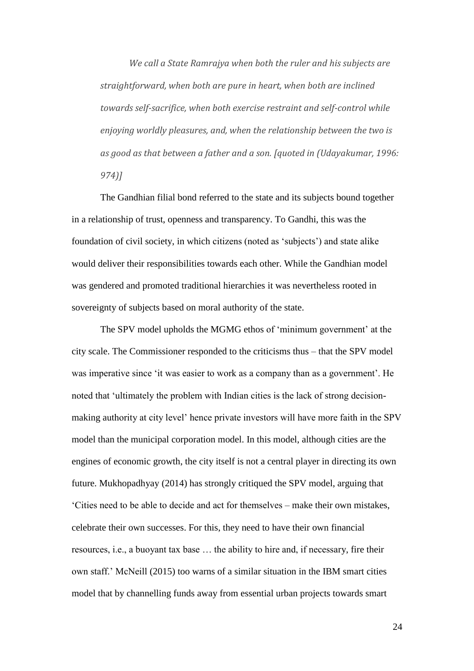*We call a State Ramrajya when both the ruler and his subjects are straightforward, when both are pure in heart, when both are inclined towards self-sacrifice, when both exercise restraint and self-control while enjoying worldly pleasures, and, when the relationship between the two is as good as that between a father and a son. [quoted in (Udayakumar, 1996: 974)]*

The Gandhian filial bond referred to the state and its subjects bound together in a relationship of trust, openness and transparency. To Gandhi, this was the foundation of civil society, in which citizens (noted as 'subjects') and state alike would deliver their responsibilities towards each other. While the Gandhian model was gendered and promoted traditional hierarchies it was nevertheless rooted in sovereignty of subjects based on moral authority of the state.

The SPV model upholds the MGMG ethos of 'minimum government' at the city scale. The Commissioner responded to the criticisms thus – that the SPV model was imperative since 'it was easier to work as a company than as a government'. He noted that 'ultimately the problem with Indian cities is the lack of strong decisionmaking authority at city level' hence private investors will have more faith in the SPV model than the municipal corporation model. In this model, although cities are the engines of economic growth, the city itself is not a central player in directing its own future. Mukhopadhyay (2014) has strongly critiqued the SPV model, arguing that 'Cities need to be able to decide and act for themselves – make their own mistakes, celebrate their own successes. For this, they need to have their own financial resources, i.e., a buoyant tax base … the ability to hire and, if necessary, fire their own staff.' McNeill (2015) too warns of a similar situation in the IBM smart cities model that by channelling funds away from essential urban projects towards smart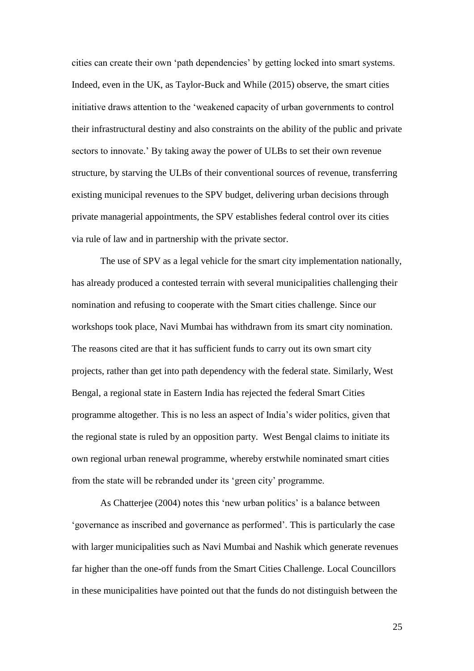cities can create their own 'path dependencies' by getting locked into smart systems. Indeed, even in the UK, as Taylor-Buck and While (2015) observe, the smart cities initiative draws attention to the 'weakened capacity of urban governments to control their infrastructural destiny and also constraints on the ability of the public and private sectors to innovate.' By taking away the power of ULBs to set their own revenue structure, by starving the ULBs of their conventional sources of revenue, transferring existing municipal revenues to the SPV budget, delivering urban decisions through private managerial appointments, the SPV establishes federal control over its cities via rule of law and in partnership with the private sector.

The use of SPV as a legal vehicle for the smart city implementation nationally, has already produced a contested terrain with several municipalities challenging their nomination and refusing to cooperate with the Smart cities challenge. Since our workshops took place, Navi Mumbai has withdrawn from its smart city nomination. The reasons cited are that it has sufficient funds to carry out its own smart city projects, rather than get into path dependency with the federal state. Similarly, West Bengal, a regional state in Eastern India has rejected the federal Smart Cities programme altogether. This is no less an aspect of India's wider politics, given that the regional state is ruled by an opposition party. West Bengal claims to initiate its own regional urban renewal programme, whereby erstwhile nominated smart cities from the state will be rebranded under its 'green city' programme.

As Chatterjee (2004) notes this 'new urban politics' is a balance between 'governance as inscribed and governance as performed'. This is particularly the case with larger municipalities such as Navi Mumbai and Nashik which generate revenues far higher than the one-off funds from the Smart Cities Challenge. Local Councillors in these municipalities have pointed out that the funds do not distinguish between the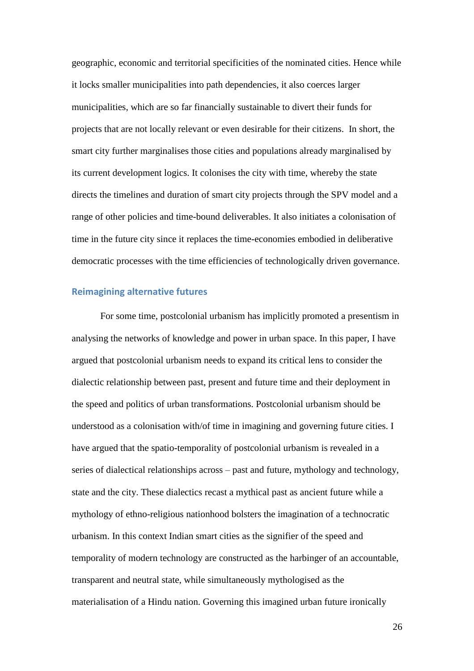geographic, economic and territorial specificities of the nominated cities. Hence while it locks smaller municipalities into path dependencies, it also coerces larger municipalities, which are so far financially sustainable to divert their funds for projects that are not locally relevant or even desirable for their citizens. In short, the smart city further marginalises those cities and populations already marginalised by its current development logics. It colonises the city with time, whereby the state directs the timelines and duration of smart city projects through the SPV model and a range of other policies and time-bound deliverables. It also initiates a colonisation of time in the future city since it replaces the time-economies embodied in deliberative democratic processes with the time efficiencies of technologically driven governance.

## **Reimagining alternative futures**

For some time, postcolonial urbanism has implicitly promoted a presentism in analysing the networks of knowledge and power in urban space. In this paper, I have argued that postcolonial urbanism needs to expand its critical lens to consider the dialectic relationship between past, present and future time and their deployment in the speed and politics of urban transformations. Postcolonial urbanism should be understood as a colonisation with/of time in imagining and governing future cities. I have argued that the spatio-temporality of postcolonial urbanism is revealed in a series of dialectical relationships across – past and future, mythology and technology, state and the city. These dialectics recast a mythical past as ancient future while a mythology of ethno-religious nationhood bolsters the imagination of a technocratic urbanism. In this context Indian smart cities as the signifier of the speed and temporality of modern technology are constructed as the harbinger of an accountable, transparent and neutral state, while simultaneously mythologised as the materialisation of a Hindu nation. Governing this imagined urban future ironically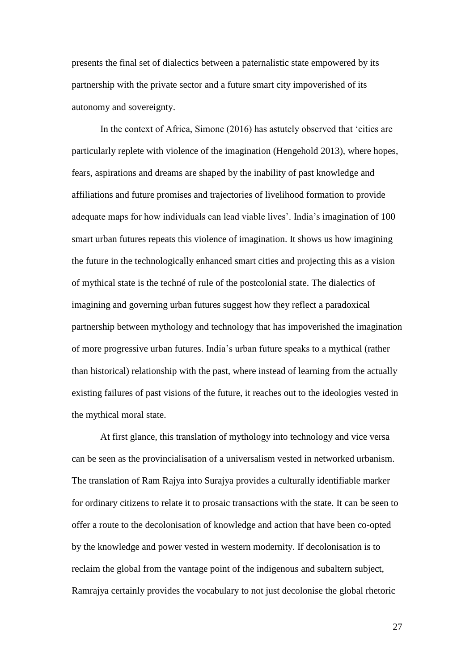presents the final set of dialectics between a paternalistic state empowered by its partnership with the private sector and a future smart city impoverished of its autonomy and sovereignty.

In the context of Africa, Simone (2016) has astutely observed that 'cities are particularly replete with violence of the imagination (Hengehold 2013), where hopes, fears, aspirations and dreams are shaped by the inability of past knowledge and affiliations and future promises and trajectories of livelihood formation to provide adequate maps for how individuals can lead viable lives'. India's imagination of 100 smart urban futures repeats this violence of imagination. It shows us how imagining the future in the technologically enhanced smart cities and projecting this as a vision of mythical state is the techné of rule of the postcolonial state. The dialectics of imagining and governing urban futures suggest how they reflect a paradoxical partnership between mythology and technology that has impoverished the imagination of more progressive urban futures. India's urban future speaks to a mythical (rather than historical) relationship with the past, where instead of learning from the actually existing failures of past visions of the future, it reaches out to the ideologies vested in the mythical moral state.

At first glance, this translation of mythology into technology and vice versa can be seen as the provincialisation of a universalism vested in networked urbanism. The translation of Ram Rajya into Surajya provides a culturally identifiable marker for ordinary citizens to relate it to prosaic transactions with the state. It can be seen to offer a route to the decolonisation of knowledge and action that have been co-opted by the knowledge and power vested in western modernity. If decolonisation is to reclaim the global from the vantage point of the indigenous and subaltern subject, Ramrajya certainly provides the vocabulary to not just decolonise the global rhetoric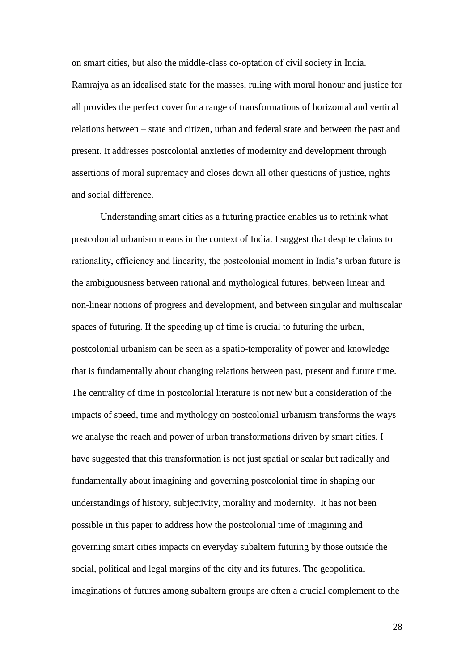on smart cities, but also the middle-class co-optation of civil society in India. Ramrajya as an idealised state for the masses, ruling with moral honour and justice for all provides the perfect cover for a range of transformations of horizontal and vertical relations between – state and citizen, urban and federal state and between the past and present. It addresses postcolonial anxieties of modernity and development through assertions of moral supremacy and closes down all other questions of justice, rights and social difference.

Understanding smart cities as a futuring practice enables us to rethink what postcolonial urbanism means in the context of India. I suggest that despite claims to rationality, efficiency and linearity, the postcolonial moment in India's urban future is the ambiguousness between rational and mythological futures, between linear and non-linear notions of progress and development, and between singular and multiscalar spaces of futuring. If the speeding up of time is crucial to futuring the urban, postcolonial urbanism can be seen as a spatio-temporality of power and knowledge that is fundamentally about changing relations between past, present and future time. The centrality of time in postcolonial literature is not new but a consideration of the impacts of speed, time and mythology on postcolonial urbanism transforms the ways we analyse the reach and power of urban transformations driven by smart cities. I have suggested that this transformation is not just spatial or scalar but radically and fundamentally about imagining and governing postcolonial time in shaping our understandings of history, subjectivity, morality and modernity. It has not been possible in this paper to address how the postcolonial time of imagining and governing smart cities impacts on everyday subaltern futuring by those outside the social, political and legal margins of the city and its futures. The geopolitical imaginations of futures among subaltern groups are often a crucial complement to the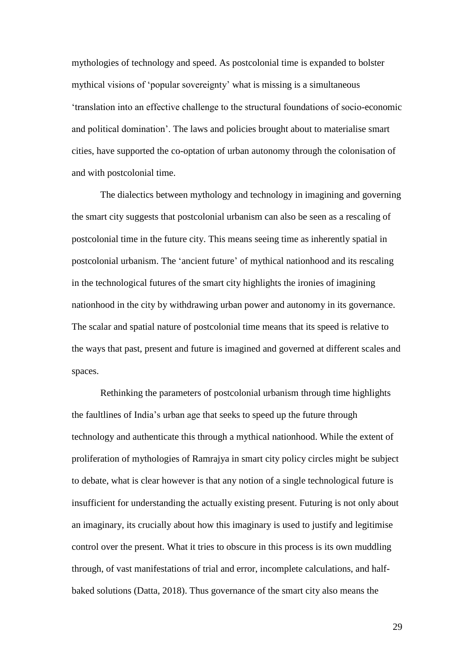mythologies of technology and speed. As postcolonial time is expanded to bolster mythical visions of 'popular sovereignty' what is missing is a simultaneous 'translation into an effective challenge to the structural foundations of socio-economic and political domination'. The laws and policies brought about to materialise smart cities, have supported the co-optation of urban autonomy through the colonisation of and with postcolonial time.

The dialectics between mythology and technology in imagining and governing the smart city suggests that postcolonial urbanism can also be seen as a rescaling of postcolonial time in the future city. This means seeing time as inherently spatial in postcolonial urbanism. The 'ancient future' of mythical nationhood and its rescaling in the technological futures of the smart city highlights the ironies of imagining nationhood in the city by withdrawing urban power and autonomy in its governance. The scalar and spatial nature of postcolonial time means that its speed is relative to the ways that past, present and future is imagined and governed at different scales and spaces.

Rethinking the parameters of postcolonial urbanism through time highlights the faultlines of India's urban age that seeks to speed up the future through technology and authenticate this through a mythical nationhood. While the extent of proliferation of mythologies of Ramrajya in smart city policy circles might be subject to debate, what is clear however is that any notion of a single technological future is insufficient for understanding the actually existing present. Futuring is not only about an imaginary, its crucially about how this imaginary is used to justify and legitimise control over the present. What it tries to obscure in this process is its own muddling through, of vast manifestations of trial and error, incomplete calculations, and halfbaked solutions (Datta, 2018). Thus governance of the smart city also means the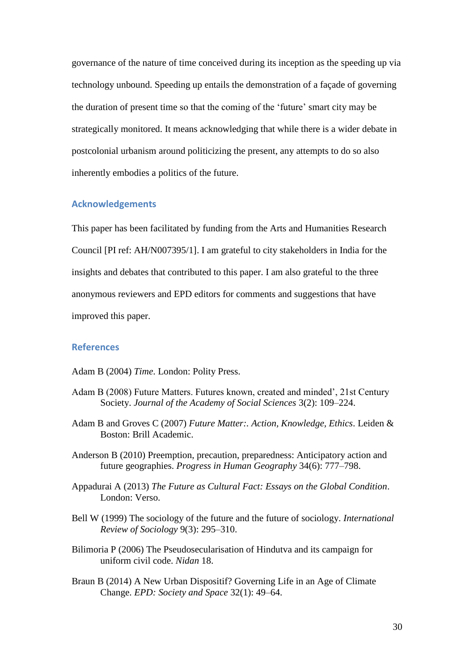governance of the nature of time conceived during its inception as the speeding up via technology unbound. Speeding up entails the demonstration of a façade of governing the duration of present time so that the coming of the 'future' smart city may be strategically monitored. It means acknowledging that while there is a wider debate in postcolonial urbanism around politicizing the present, any attempts to do so also inherently embodies a politics of the future.

#### **Acknowledgements**

This paper has been facilitated by funding from the Arts and Humanities Research Council [PI ref: AH/N007395/1]. I am grateful to city stakeholders in India for the insights and debates that contributed to this paper. I am also grateful to the three anonymous reviewers and EPD editors for comments and suggestions that have improved this paper.

## **References**

Adam B (2004) *Time*. London: Polity Press.

- Adam B (2008) Future Matters. Futures known, created and minded', 21st Century Society. *Journal of the Academy of Social Sciences* 3(2): 109–224.
- Adam B and Groves C (2007) *Future Matter:. Action, Knowledge, Ethics*. Leiden & Boston: Brill Academic.
- Anderson B (2010) Preemption, precaution, preparedness: Anticipatory action and future geographies. *Progress in Human Geography* 34(6): 777–798.
- Appadurai A (2013) *The Future as Cultural Fact: Essays on the Global Condition*. London: Verso.
- Bell W (1999) The sociology of the future and the future of sociology. *International Review of Sociology* 9(3): 295–310.
- Bilimoria P (2006) The Pseudosecularisation of Hindutva and its campaign for uniform civil code. *Nidan* 18.
- Braun B (2014) A New Urban Dispositif? Governing Life in an Age of Climate Change. *EPD: Society and Space* 32(1): 49–64.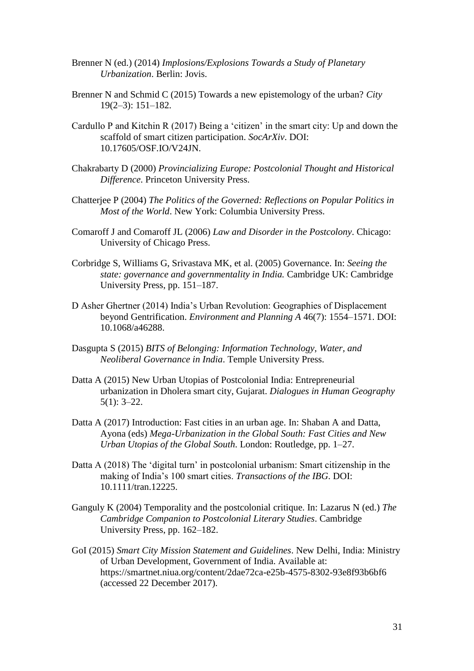- Brenner N (ed.) (2014) *Implosions/Explosions Towards a Study of Planetary Urbanization*. Berlin: Jovis.
- Brenner N and Schmid C (2015) Towards a new epistemology of the urban? *City* 19(2–3): 151–182.
- Cardullo P and Kitchin R (2017) Being a 'citizen' in the smart city: Up and down the scaffold of smart citizen participation. *SocArXiv*. DOI: 10.17605/OSF.IO/V24JN.
- Chakrabarty D (2000) *Provincializing Europe: Postcolonial Thought and Historical Difference*. Princeton University Press.
- Chatterjee P (2004) *The Politics of the Governed: Reflections on Popular Politics in Most of the World*. New York: Columbia University Press.
- Comaroff J and Comaroff JL (2006) *Law and Disorder in the Postcolony*. Chicago: University of Chicago Press.
- Corbridge S, Williams G, Srivastava MK, et al. (2005) Governance. In: *Seeing the state: governance and governmentality in India.* Cambridge UK: Cambridge University Press, pp. 151–187.
- D Asher Ghertner (2014) India's Urban Revolution: Geographies of Displacement beyond Gentrification. *Environment and Planning A* 46(7): 1554–1571. DOI: 10.1068/a46288.
- Dasgupta S (2015) *BITS of Belonging: Information Technology, Water, and Neoliberal Governance in India*. Temple University Press.
- Datta A (2015) New Urban Utopias of Postcolonial India: Entrepreneurial urbanization in Dholera smart city, Gujarat. *Dialogues in Human Geography* 5(1): 3–22.
- Datta A (2017) Introduction: Fast cities in an urban age. In: Shaban A and Datta, Ayona (eds) *Mega-Urbanization in the Global South: Fast Cities and New Urban Utopias of the Global South*. London: Routledge, pp. 1–27.
- Datta A (2018) The 'digital turn' in postcolonial urbanism: Smart citizenship in the making of India's 100 smart cities. *Transactions of the IBG*. DOI: 10.1111/tran.12225.
- Ganguly K (2004) Temporality and the postcolonial critique. In: Lazarus N (ed.) *The Cambridge Companion to Postcolonial Literary Studies*. Cambridge University Press, pp. 162–182.
- GoI (2015) *Smart City Mission Statement and Guidelines*. New Delhi, India: Ministry of Urban Development, Government of India. Available at: https://smartnet.niua.org/content/2dae72ca-e25b-4575-8302-93e8f93b6bf6 (accessed 22 December 2017).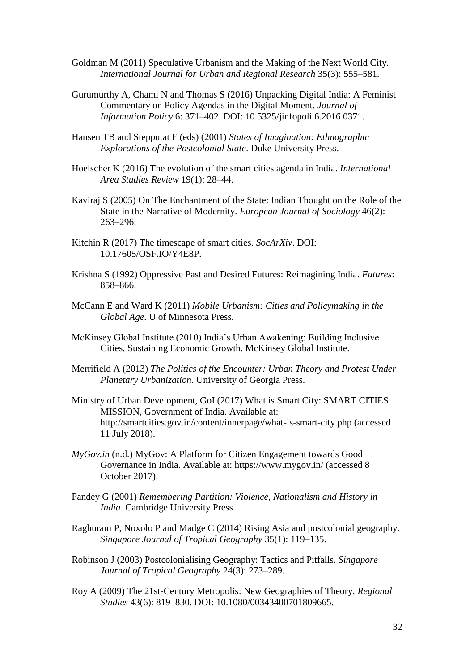- Goldman M (2011) Speculative Urbanism and the Making of the Next World City. *International Journal for Urban and Regional Research* 35(3): 555–581.
- Gurumurthy A, Chami N and Thomas S (2016) Unpacking Digital India: A Feminist Commentary on Policy Agendas in the Digital Moment. *Journal of Information Policy* 6: 371–402. DOI: 10.5325/jinfopoli.6.2016.0371.
- Hansen TB and Stepputat F (eds) (2001) *States of Imagination: Ethnographic Explorations of the Postcolonial State*. Duke University Press.
- Hoelscher K (2016) The evolution of the smart cities agenda in India. *International Area Studies Review* 19(1): 28–44.
- Kaviraj S (2005) On The Enchantment of the State: Indian Thought on the Role of the State in the Narrative of Modernity. *European Journal of Sociology* 46(2): 263–296.
- Kitchin R (2017) The timescape of smart cities. *SocArXiv*. DOI: 10.17605/OSF.IO/Y4E8P.
- Krishna S (1992) Oppressive Past and Desired Futures: Reimagining India. *Futures*: 858–866.
- McCann E and Ward K (2011) *Mobile Urbanism: Cities and Policymaking in the Global Age*. U of Minnesota Press.
- McKinsey Global Institute (2010) India's Urban Awakening: Building Inclusive Cities, Sustaining Economic Growth. McKinsey Global Institute.
- Merrifield A (2013) *The Politics of the Encounter: Urban Theory and Protest Under Planetary Urbanization*. University of Georgia Press.
- Ministry of Urban Development, GoI (2017) What is Smart City: SMART CITIES MISSION, Government of India. Available at: http://smartcities.gov.in/content/innerpage/what-is-smart-city.php (accessed 11 July 2018).
- *MyGov.in* (n.d.) MyGov: A Platform for Citizen Engagement towards Good Governance in India. Available at: https://www.mygov.in/ (accessed 8 October 2017).
- Pandey G (2001) *Remembering Partition: Violence, Nationalism and History in India*. Cambridge University Press.
- Raghuram P, Noxolo P and Madge C (2014) Rising Asia and postcolonial geography. *Singapore Journal of Tropical Geography* 35(1): 119–135.
- Robinson J (2003) Postcolonialising Geography: Tactics and Pitfalls. *Singapore Journal of Tropical Geography* 24(3): 273–289.
- Roy A (2009) The 21st-Century Metropolis: New Geographies of Theory. *Regional Studies* 43(6): 819–830. DOI: 10.1080/00343400701809665.